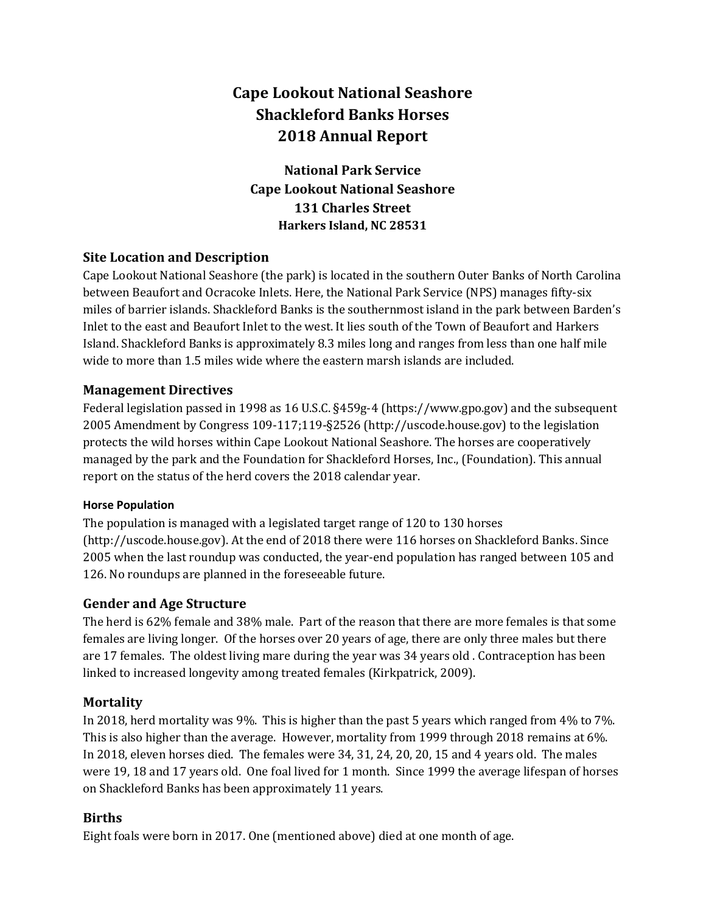# Cape Lookout National Seashore Shackleford Banks Horses 2018 Annual Report

National Park Service Cape Lookout National Seashore 131 Charles Street Harkers Island, NC 28531

# Site Location and Description

Cape Lookout National Seashore (the park) is located in the southern Outer Banks of North Carolina between Beaufort and Ocracoke Inlets. Here, the National Park Service (NPS) manages fifty-six miles of barrier islands. Shackleford Banks is the southernmost island in the park between Barden's Inlet to the east and Beaufort Inlet to the west. It lies south of the Town of Beaufort and Harkers Island. Shackleford Banks is approximately 8.3 miles long and ranges from less than one half mile wide to more than 1.5 miles wide where the eastern marsh islands are included.

#### Management Directives

Federal legislation passed in 1998 as 16 U.S.C. §459g-4 (https://www.gpo.gov) and the subsequent 2005 Amendment by Congress 109-117;119-§2526 (http://uscode.house.gov) to the legislation protects the wild horses within Cape Lookout National Seashore. The horses are cooperatively managed by the park and the Foundation for Shackleford Horses, Inc., (Foundation). This annual report on the status of the herd covers the 2018 calendar year.

#### Horse Population

The population is managed with a legislated target range of 120 to 130 horses (http://uscode.house.gov). At the end of 2018 there were 116 horses on Shackleford Banks. Since 2005 when the last roundup was conducted, the year-end population has ranged between 105 and 126. No roundups are planned in the foreseeable future.

# Gender and Age Structure

The herd is 62% female and 38% male. Part of the reason that there are more females is that some females are living longer. Of the horses over 20 years of age, there are only three males but there are 17 females. The oldest living mare during the year was 34 years old . Contraception has been linked to increased longevity among treated females (Kirkpatrick, 2009).

#### **Mortality**

In 2018, herd mortality was 9%. This is higher than the past 5 years which ranged from 4% to 7%. This is also higher than the average. However, mortality from 1999 through 2018 remains at 6%. In 2018, eleven horses died. The females were 34, 31, 24, 20, 20, 15 and 4 years old. The males were 19, 18 and 17 years old. One foal lived for 1 month. Since 1999 the average lifespan of horses on Shackleford Banks has been approximately 11 years.

# Births

Eight foals were born in 2017. One (mentioned above) died at one month of age.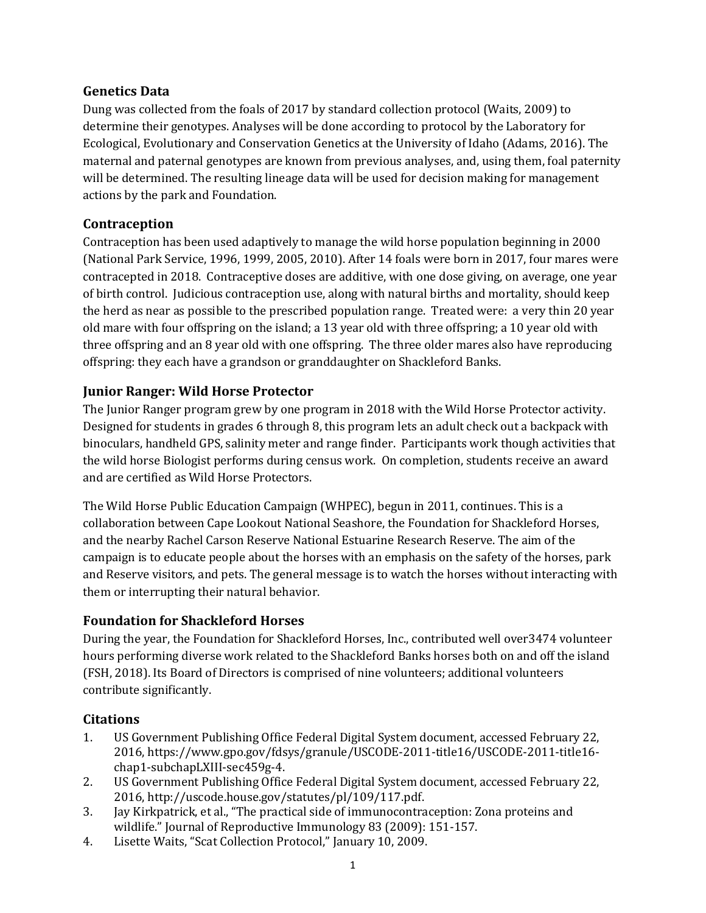#### Genetics Data

Dung was collected from the foals of 2017 by standard collection protocol (Waits, 2009) to determine their genotypes. Analyses will be done according to protocol by the Laboratory for Ecological, Evolutionary and Conservation Genetics at the University of Idaho (Adams, 2016). The maternal and paternal genotypes are known from previous analyses, and, using them, foal paternity will be determined. The resulting lineage data will be used for decision making for management actions by the park and Foundation.

#### Contraception

Contraception has been used adaptively to manage the wild horse population beginning in 2000 (National Park Service, 1996, 1999, 2005, 2010). After 14 foals were born in 2017, four mares were contracepted in 2018. Contraceptive doses are additive, with one dose giving, on average, one year of birth control. Judicious contraception use, along with natural births and mortality, should keep the herd as near as possible to the prescribed population range. Treated were: a very thin 20 year old mare with four offspring on the island; a 13 year old with three offspring; a 10 year old with three offspring and an 8 year old with one offspring. The three older mares also have reproducing offspring: they each have a grandson or granddaughter on Shackleford Banks.

# Junior Ranger: Wild Horse Protector

The Junior Ranger program grew by one program in 2018 with the Wild Horse Protector activity. Designed for students in grades 6 through 8, this program lets an adult check out a backpack with binoculars, handheld GPS, salinity meter and range finder. Participants work though activities that the wild horse Biologist performs during census work. On completion, students receive an award and are certified as Wild Horse Protectors.

The Wild Horse Public Education Campaign (WHPEC), begun in 2011, continues. This is a collaboration between Cape Lookout National Seashore, the Foundation for Shackleford Horses, and the nearby Rachel Carson Reserve National Estuarine Research Reserve. The aim of the campaign is to educate people about the horses with an emphasis on the safety of the horses, park and Reserve visitors, and pets. The general message is to watch the horses without interacting with them or interrupting their natural behavior.

# Foundation for Shackleford Horses

During the year, the Foundation for Shackleford Horses, Inc., contributed well over3474 volunteer hours performing diverse work related to the Shackleford Banks horses both on and off the island (FSH, 2018). Its Board of Directors is comprised of nine volunteers; additional volunteers contribute significantly.

# **Citations**

- 1. US Government Publishing Office Federal Digital System document, accessed February 22, 2016, https://www.gpo.gov/fdsys/granule/USCODE-2011-title16/USCODE-2011-title16 chap1-subchapLXIII-sec459g-4.
- 2. US Government Publishing Office Federal Digital System document, accessed February 22, 2016, http://uscode.house.gov/statutes/pl/109/117.pdf.
- 3. Jay Kirkpatrick, et al., "The practical side of immunocontraception: Zona proteins and wildlife." Journal of Reproductive Immunology 83 (2009): 151-157.
- 4. Lisette Waits, "Scat Collection Protocol," January 10, 2009.